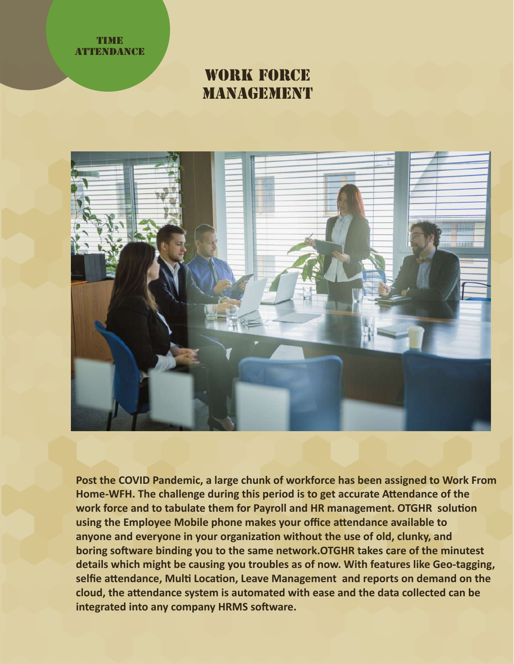

# WORK FORCE **MANAGEMENT**



**Post the COVID Pandemic, a large chunk of workforce has been assigned to Work From** Home-WFH. The challenge during this period is to get accurate Attendance of the work force and to tabulate them for Payroll and HR management. OTGHR solution **using the Employee Mobile phone makes your office a�endance available to** anyone and everyone in your organization without the use of old, clunky, and boring software binding you to the same network.OTGHR takes care of the minutest **details which might be causing you troubles as of now. With features like Geo-tagging,** selfie attendance, Multi Location, Leave Management and reports on demand on the **cloud, the a�endance system is automated with ease and the data collected can be** integrated into any company HRMS software.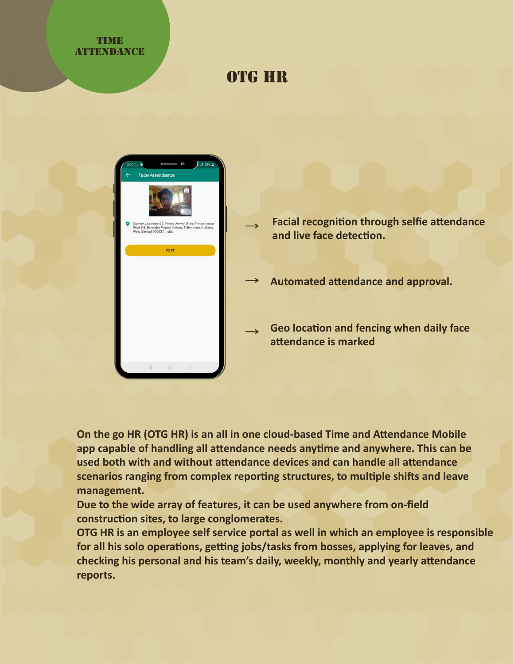### **TIME ATTENDANCE**

# OTG HR



- **Facial recognition through selfie attendance** and live face detection.
- **Automated a�endance and approval.**
- **Geo location and fencing when daily face a�endance is marked**

**On the go HR (OTG HR) is an all in one cloud-based Time and Attendance Mobile app capable of handling all a�endance needs any�me and anywhere. This can be used both with and without a�endance devices and can handle all a�endance** scenarios ranging from complex reporting structures, to multiple shifts and leave **management.**

**Due to the wide array of features, it can be used anywhere from on-field** construction sites, to large conglomerates.

**OTG HR is an employee self service portal as well in which an employee is responsible** for all his solo operations, getting jobs/tasks from bosses, applying for leaves, and **checking his personal and his team's daily, weekly, monthly and yearly a�endance reports.**